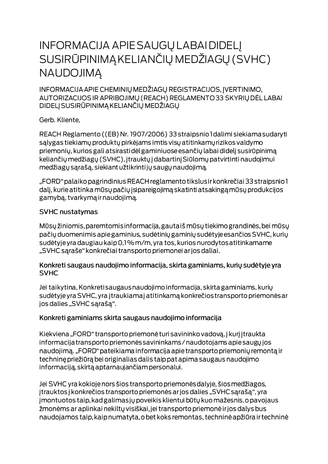# **INFORMACIJA APIE SAUGŲ LABAI DIDELĮ** SUSIRŪPINIMĄ KELIANČIŲ MEDŽIAGŲ (SVHC) **NAUDOJIMA**

INFORMACIJA APIE CHEMINIŲ MEDŽIAGŲ REGISTRACIJOS, ĮVERTINIMO, AUTORIZACIJOS IR APRIBOJIMŲ (REACH) REGLAMENTO 33 SKYRIŲ DĖL LABAI DIDELJ SUSIRŪPINIMĄ KELIANČIŲ MEDŽIAGŲ

Gerb. Kliente,

REACH Reglamento ((EB) Nr. 1907/2006) 33 straipsnio I dalimi siekiama sudaryti salygas tiekiamų produktų pirkėjams imtis visų atitinkamų rizikos valdymo priemonių, kurios gali atsirastidėl gaminiuose esančių labai didelį susirūpinimą keliančių medžiagų (SVHC), įtrauktų į dabartinį Siūlomų patvirtinti naudojimui medžiagų sąrašą, siekiant užtikrintijų saugų naudojimą.

"FORD" palaiko pagrindinius REACH reglamento tikslus ir konkrečiai 33 straipsnio 1 dalį, kurie atitinka mūsų pačių įsipareigojimą skatinti atsakingą mūsų produkcijos gamybą, tvarkymą ir naudojimą.

#### **SVHC nustatymas**

Mūsų žiniomis, paremtomis informacija, gautaiš mūsų tiekimo grandinės, bei mūsų pačių duomenimis apie gaminius, sudėtinių gaminių sudėtyje esančios SVHC, kurių sudėtyje yra daugiau kaip 0,1% m/m, yra tos, kurios nurodytos atitinkamame "SVHC sąraše" konkrečiai transporto priemonei ar jos daliai.

#### Konkreti saugaus naudojimo informacija, skirta gaminiams, kurių sudėtyje yra **SVHC**

Jei taikytina, Konkreti saugaus naudojimo informacija, skirta gaminiams, kurių sudėtyje yra SVHC, yra įtraukiamaj atitinkamą konkrečios transporto priemonės ar jos dalies "SVHC sąrašą".

### Konkreti gaminiams skirta saugaus naudojimo informacija

Kiekviena "FORD" transporto priemonė turi savininko vadovą, į kurį įtraukta informacija transporto priemonės savininkams / naudotojams apie saugų jos naudojimą. "FORD" pateikiama informacija apie transporto priemonių remontą ir techninę priežiūrą bei originalias dalis taip pat apima saugaus naudojimo informaciją, skirtą aptarnaujančiam personalui.

Jei SVHC yra kokioje nors šios transporto priemonės dalyje, šios medžiagos, įtrauktos į konkrečios transporto priemonės ar jos dalies "SVHC sąrašą", yra jmontuotos taip, kad galimas jų poveikis klientui būtų kuo mažesnis, o pavojaus žmonėms ar aplinkai nekiltų visiškai, jei transporto priemonė ir jos dalys bus naudojamos taip, kaip numatyta, o bet koks remontas, techninė apžiūra ir techninė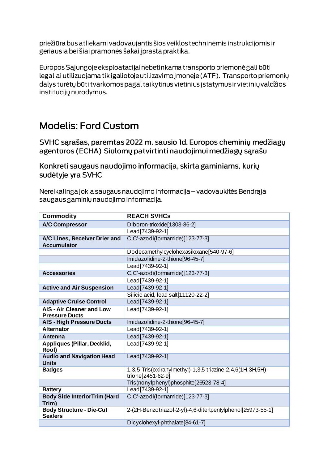priežiūra bus atliekami vadovaujantis šios veiklos techninėmis instrukcijomis ir geriausia bei šiai pramonės šakai į prasta praktika.

Europos Sąjungoje eksploatacijai nebetinkama transporto priemonė gali būti legaliai utilizuojama tik įgaliotoje utilizavimo įmonėje (ATF). Transporto priemonių dalys turėtų būti tvarkomos pagal taikytinus vietinius įstatymus ir vietinių valdžios institucijų nurodymus.

## **Modelis: Ford Custom**

SVHC sarašas, paremtas 2022 m. sausio Id. Europos cheminių medžiagų agentūros (ECHA) Siūlomų patvirtinti naudojimui medžiagų sąrašu

Konkreti saugaus naudojimo informacija, skirta gaminiams, kurių sudėtyje yra SVHC

Nereikalinga jokia saugaus naudojimo informacija – vadovaukitės Bendrąja saugaus gaminių naudojimo informacija.

| <b>Commodity</b>                                          | <b>REACH SVHCs</b>                                                              |
|-----------------------------------------------------------|---------------------------------------------------------------------------------|
| <b>A/C Compressor</b>                                     | Diboron-trioxide[1303-86-2]                                                     |
|                                                           | Lead[7439-92-1]                                                                 |
| A/C Lines, Receiver Drier and<br><b>Accumulator</b>       | C,C'-azodi(formamide)[123-77-3]                                                 |
|                                                           | Dodecamethylcyclohexasiloxane[540-97-6]                                         |
|                                                           | Imidazolidine-2-thione[96-45-7]                                                 |
|                                                           | Lead [7439-92-1]                                                                |
| <b>Accessories</b>                                        | C,C'-azodi(formamide)[123-77-3]                                                 |
|                                                           | Lead[7439-92-1]                                                                 |
| <b>Active and Air Suspension</b>                          | Lead[7439-92-1]                                                                 |
|                                                           | Silicic acid, lead salt[11120-22-2]                                             |
| <b>Adaptive Cruise Control</b>                            | Lead [7439-92-1]                                                                |
| <b>AIS - Air Cleaner and Low</b><br><b>Pressure Ducts</b> | Lead[7439-92-1]                                                                 |
| <b>AIS - High Pressure Ducts</b>                          | Imidazolidine-2-thione[96-45-7]                                                 |
| <b>Alternator</b>                                         | Lead[7439-92-1]                                                                 |
| <b>Antenna</b>                                            | Lead[7439-92-1]                                                                 |
| Appliques (Pillar, Decklid,<br>Roof)                      | Lead[7439-92-1]                                                                 |
| <b>Audio and Navigation Head</b><br><b>Units</b>          | Lead[7439-92-1]                                                                 |
| <b>Badges</b>                                             | 1,3,5-Tris(oxiranylmethyl)-1,3,5-triazine-2,4,6(1H,3H,5H)-<br>trione[2451-62-9] |
|                                                           | Tris(nonylphenyl)phosphite[26523-78-4]                                          |
| <b>Battery</b>                                            | Lead[7439-92-1]                                                                 |
| <b>Body Side InteriorTrim (Hard</b><br>Trim)              | C,C'-azodi(formamide)[123-77-3]                                                 |
| <b>Body Structure - Die-Cut</b><br><b>Sealers</b>         | 2-(2H-Benzotriazol-2-yl)-4,6-ditertpentylphenol[25973-55-1]                     |
|                                                           | Dicyclohexyl-phthalate[84-61-7]                                                 |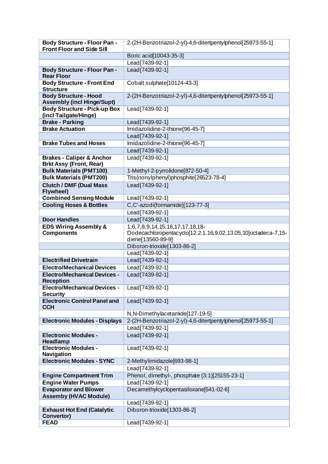| <b>Body Structure - Floor Pan -</b>                                    | 2-(2H-Benzotriazol-2-yl)-4,6-ditertpentylphenol[25973-55-1]   |
|------------------------------------------------------------------------|---------------------------------------------------------------|
| <b>Front Floor and Side Sill</b>                                       |                                                               |
|                                                                        | Boric acid[10043-35-3]                                        |
|                                                                        | Lead[7439-92-1]                                               |
| <b>Body Structure - Floor Pan -</b><br><b>Rear Floor</b>               | Lead[7439-92-1]                                               |
| <b>Body Structure - Front End</b><br><b>Structure</b>                  | Cobalt sulphate[10124-43-3]                                   |
| <b>Body Structure - Hood</b><br><b>Assembly (incl Hinge/Supt)</b>      | 2-(2H-Benzotriazol-2-yl)-4,6-ditertpentylphenol[25973-55-1]   |
| <b>Body Structure - Pick-up Box</b>                                    | Lead[7439-92-1]                                               |
| (incl Tailgate/Hinge)                                                  |                                                               |
| <b>Brake - Parking</b>                                                 | Lead[7439-92-1]                                               |
| <b>Brake Actuation</b>                                                 | Imidazolidine-2-thione[96-45-7]                               |
|                                                                        | Lead[7439-92-1]                                               |
| <b>Brake Tubes and Hoses</b>                                           | Imidazolidine-2-thione[96-45-7]                               |
|                                                                        | Lead[7439-92-1]                                               |
| <b>Brakes - Caliper &amp; Anchor</b><br><b>Brkt Assy (Front, Rear)</b> | Lead[7439-92-1]                                               |
| <b>Bulk Materials (PMT100)</b>                                         | 1-Methyl-2-pyrrolidone[872-50-4]                              |
| <b>Bulk Materials (PMT200)</b>                                         | Tris(nonylphenyl)phosphite[26523-78-4]                        |
| <b>Clutch / DMF (Dual Mass)</b><br>Flywheel)                           | Lead[7439-92-1]                                               |
| <b>Combined Sensing Module</b>                                         | Lead[7439-92-1]                                               |
| <b>Cooling Hoses &amp; Bottles</b>                                     | C,C'-azodi(formamide)[123-77-3]                               |
|                                                                        | Lead[7439-92-1]                                               |
| <b>Door Handles</b>                                                    | Lead[7439-92-1]                                               |
| <b>EDS Wiring Assembly &amp;</b>                                       | 1,6,7,8,9,14,15,16,17,17,18,18-                               |
| <b>Components</b>                                                      | Dodecachloropentacyclo[12.2.1.16,9.02,13.05,10]octadeca-7,15- |
|                                                                        | diene[13560-89-9]                                             |
|                                                                        | Diboron-trioxide[1303-86-2]                                   |
|                                                                        | Lead[7439-92-1]                                               |
| <b>Electrified Drivetrain</b>                                          | Lead[7439-92-1]                                               |
| <b>Electro/Mechanical Devices</b>                                      | Lead[7439-92-1]                                               |
| <b>Electro/Mechanical Devices -</b><br><b>Reception</b>                | Lead[7439-92-1]                                               |
| <b>Electro/Mechanical Devices -</b><br><b>Security</b>                 | Lead[7439-92-1]                                               |
| <b>Electronic Control Panel and</b><br><b>CCH</b>                      | Lead[7439-92-1]                                               |
|                                                                        | N, N-Dimethylacetamide[127-19-5]                              |
| <b>Electronic Modules - Displays</b>                                   | 2-(2H-Benzotriazol-2-yl)-4,6-ditertpentylphenol[25973-55-1]   |
|                                                                        | Lead [7439-92-1]                                              |
| <b>Electronic Modules -</b><br>Headlamp                                | Lead[7439-92-1]                                               |
| <b>Electronic Modules -</b><br>Navigation                              | Lead[7439-92-1]                                               |
| <b>Electronic Modules - SYNC</b>                                       | 2-Methylimidazole[693-98-1]                                   |
|                                                                        | Lead[7439-92-1]                                               |
| <b>Engine Compartment Trim</b>                                         | Phenol, dimethyl-, phosphate (3:1)[25155-23-1]                |
| <b>Engine Water Pumps</b>                                              | Lead[7439-92-1]                                               |
| <b>Evaporator and Blower</b>                                           | Decamethylcyclopentasiloxane[541-02-6]                        |
| <b>Assemby (HVAC Module)</b>                                           |                                                               |
|                                                                        | Lead[7439-92-1]                                               |
| <b>Exhaust Hot End (Catalytic</b><br>Convertor)                        | Diboron-trioxide[1303-86-2]                                   |
| <b>FEAD</b>                                                            | Lead[7439-92-1]                                               |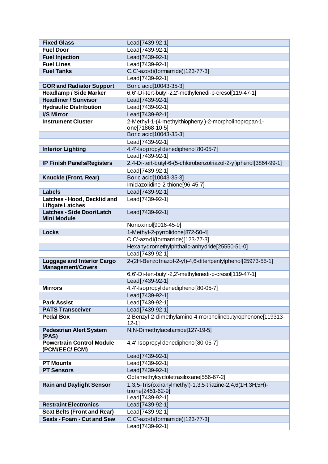| <b>Fixed Glass</b>                                            | Lead[7439-92-1]                                                                 |
|---------------------------------------------------------------|---------------------------------------------------------------------------------|
| <b>Fuel Door</b>                                              | Lead[7439-92-1]                                                                 |
| <b>Fuel Injection</b>                                         | Lead[7439-92-1]                                                                 |
| <b>Fuel Lines</b>                                             | Lead[7439-92-1]                                                                 |
| <b>Fuel Tanks</b>                                             | C,C'-azodi(formamide)[123-77-3]                                                 |
|                                                               | Lead <sup>[7439-92-1]</sup>                                                     |
| <b>GOR and Radiator Support</b>                               | Boric acid[10043-35-3]                                                          |
| <b>Headlamp / Side Marker</b>                                 | 6,6'-Di-tert-butyl-2,2'-methylenedi-p-cresol[119-47-1]                          |
| <b>Headliner / Sunvisor</b>                                   | Lead[7439-92-1]                                                                 |
| <b>Hydraulic Distribution</b>                                 | Lead [7439-92-1]                                                                |
| I/S Mirror                                                    | Lead[7439-92-1]                                                                 |
| <b>Instrument Cluster</b>                                     | 2-Methyl-1-(4-methylthiophenyl)-2-morpholinopropan-1-<br>one[71868-10-5]        |
|                                                               | Boric acid[10043-35-3]                                                          |
|                                                               | Lead[7439-92-1]                                                                 |
| <b>Interior Lighting</b>                                      | 4,4'-Isopropylidenediphenol[80-05-7]                                            |
|                                                               | Lead[7439-92-1]                                                                 |
| <b>IP Finish Panels/Registers</b>                             | 2,4-Di-tert-butyl-6-(5-chlorobenzotriazol-2-yl)phenol[3864-99-1]                |
|                                                               | Lead[7439-92-1]                                                                 |
| Knuckle (Front, Rear)                                         | Boric acid[10043-35-3]                                                          |
|                                                               | Imidazolidine-2-thione[96-45-7]                                                 |
| <b>Labels</b>                                                 | Lead[7439-92-1]                                                                 |
| Latches - Hood, Decklid and<br><b>Liftgate Latches</b>        | Lead[7439-92-1]                                                                 |
| <b>Latches - Side Door/Latch</b><br><b>Mini Module</b>        | Lead[7439-92-1]                                                                 |
|                                                               | Nonoxinol[9016-45-9]                                                            |
| <b>Locks</b>                                                  | 1-Methyl-2-pyrrolidone[872-50-4]                                                |
|                                                               | C,C'-azodi(formamide)[123-77-3]                                                 |
|                                                               | Hexahydromethylphthalic-anhydride[25550-51-0]                                   |
|                                                               | Lead[7439-92-1]                                                                 |
| <b>Luggage and Interior Cargo</b><br><b>Management/Covers</b> | 2-(2H-Benzotriazol-2-yl)-4,6-ditertpentylphenol[25973-55-1]                     |
|                                                               | 6,6'-Di-tert-butyl-2,2'-methylenedi-p-cresol[119-47-1]                          |
|                                                               | Lead[7439-92-1]                                                                 |
| <b>Mirrors</b>                                                | 4,4'-Isopropylidenediphenol[80-05-7]                                            |
|                                                               | Lead[7439-92-1]                                                                 |
| <b>Park Assist</b>                                            | Lead [7439-92-1]                                                                |
| <b>PATS Transceiver</b>                                       | Lead [7439-92-1]                                                                |
| <b>Pedal Box</b>                                              | 2-Benzyl-2-dimethylamino-4-morpholinobutyrophenone[119313-                      |
|                                                               | $12 - 11$                                                                       |
| <b>Pedestrian Alert System</b><br>(PAS)                       | N, N-Dimethylacetamide[127-19-5]                                                |
| <b>Powertrain Control Module</b><br>(PCM/EEC/ECM)             | 4,4'-Isopropylidenediphenol[80-05-7]                                            |
|                                                               | Lead[7439-92-1]                                                                 |
| <b>PT Mounts</b>                                              | Lead[7439-92-1]                                                                 |
| <b>PT Sensors</b>                                             | Lead[7439-92-1]                                                                 |
|                                                               | Octamethylcyclotetrasiloxane[556-67-2]                                          |
| <b>Rain and Daylight Sensor</b>                               | 1,3,5-Tris(oxiranylmethyl)-1,3,5-triazine-2,4,6(1H,3H,5H)-<br>trione[2451-62-9] |
|                                                               | Lead[7439-92-1]                                                                 |
| <b>Restraint Electronics</b>                                  | Lead[7439-92-1]                                                                 |
| <b>Seat Belts (Front and Rear)</b>                            | Lead [7439-92-1]                                                                |
| <b>Seats - Foam - Cut and Sew</b>                             | C,C'-azodi(formamide)[123-77-3]                                                 |
|                                                               | Lead[7439-92-1]                                                                 |